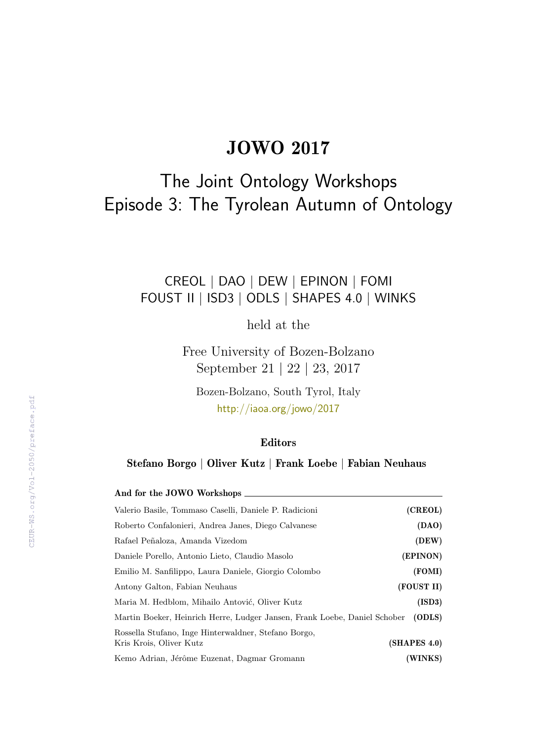# JOWO 2017

# The Joint Ontology Workshops Episode 3: The Tyrolean Autumn of Ontology

# CREOL | DAO | DEW | EPINON | FOMI FOUST II | ISD3 | ODLS | SHAPES 4.0 | WINKS

held at the

Free University of Bozen-Bolzano September 21 | 22 | 23, 2017

Bozen-Bolzano, South Tyrol, Italy <http://iaoa.org/jowo/2017>

### Editors

Stefano Borgo | Oliver Kutz | Frank Loebe | Fabian Neuhaus

| And for the JOWO Workshops                                                      |              |
|---------------------------------------------------------------------------------|--------------|
| Valerio Basile, Tommaso Caselli, Daniele P. Radicioni                           | (CREOL)      |
| Roberto Confalonieri, Andrea Janes, Diego Calvanese                             | (DAO)        |
| Rafael Peñaloza, Amanda Vizedom                                                 | (DEW)        |
| Daniele Porello, Antonio Lieto, Claudio Masolo                                  | (EPINON)     |
| Emilio M. Sanfilippo, Laura Daniele, Giorgio Colombo                            | (FOMI)       |
| Antony Galton, Fabian Neuhaus                                                   | (FOUST II)   |
| Maria M. Hedblom, Mihailo Antović, Oliver Kutz                                  | (ISD3)       |
| Martin Boeker, Heinrich Herre, Ludger Jansen, Frank Loebe, Daniel Schober       | (ODLS)       |
| Rossella Stufano, Inge Hinterwaldner, Stefano Borgo,<br>Kris Krois, Oliver Kutz | (SHAPES 4.0) |
| Kemo Adrian, Jérôme Euzenat, Dagmar Gromann                                     | (WINKS)      |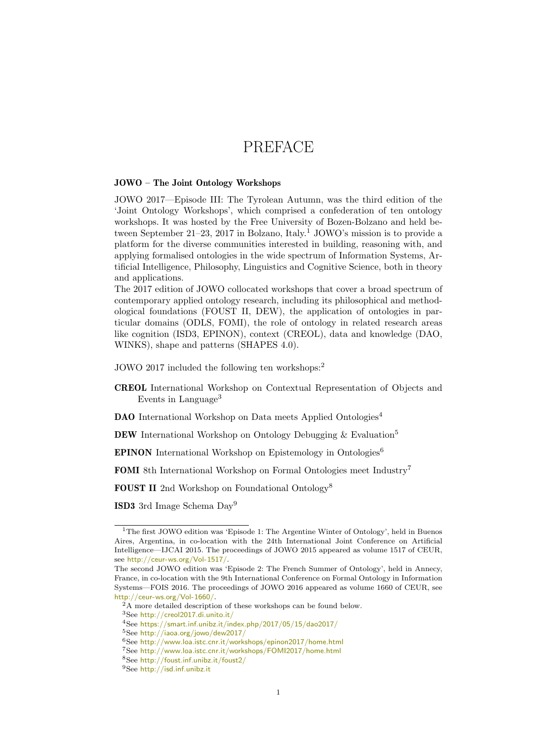# PREFACE

#### JOWO – The Joint Ontology Workshops

JOWO 2017—Episode III: The Tyrolean Autumn, was the third edition of the 'Joint Ontology Workshops', which comprised a confederation of ten ontology workshops. It was hosted by the Free University of Bozen-Bolzano and held be-tween September 2[1](#page-2-0)–23, 2017 in Bolzano, Italy.<sup>1</sup> JOWO's mission is to provide a platform for the diverse communities interested in building, reasoning with, and applying formalised ontologies in the wide spectrum of Information Systems, Artificial Intelligence, Philosophy, Linguistics and Cognitive Science, both in theory and applications.

The 2017 edition of JOWO collocated workshops that cover a broad spectrum of contemporary applied ontology research, including its philosophical and methodological foundations (FOUST II, DEW), the application of ontologies in particular domains (ODLS, FOMI), the role of ontology in related research areas like cognition (ISD3, EPINON), context (CREOL), data and knowledge (DAO, WINKS), shape and patterns (SHAPES 4.0).

JOWO 2017 included the following ten workshops:[2](#page-2-1)

CREOL International Workshop on Contextual Representation of Objects and Events in Language<sup>[3](#page-2-2)</sup>

DAO International Workshop on Data meets Applied Ontologies<sup>[4](#page-2-3)</sup>

DEW International Workshop on Ontology Debugging & Evaluation<sup>[5](#page-2-4)</sup>

EPINON International Workshop on Epistemology in Ontologies[6](#page-2-5)

FOMI 8th International Workshop on Formal Ontologies meet Industry[7](#page-2-6)

FOUST II 2nd Workshop on Foundational Ontology[8](#page-2-7)

ISD3 3rd Image Schema Day[9](#page-2-8)

<span id="page-2-2"></span><sup>3</sup>See <http://creol2017.di.unito.it/>

<span id="page-2-0"></span><sup>&</sup>lt;sup>1</sup>The first JOWO edition was 'Episode 1: The Argentine Winter of Ontology', held in Buenos Aires, Argentina, in co-location with the 24th International Joint Conference on Artificial Intelligence—IJCAI 2015. The proceedings of JOWO 2015 appeared as volume 1517 of CEUR, see <http://ceur-ws.org/Vol-1517/>.

The second JOWO edition was 'Episode 2: The French Summer of Ontology', held in Annecy, France, in co-location with the 9th International Conference on Formal Ontology in Information Systems—FOIS 2016. The proceedings of JOWO 2016 appeared as volume 1660 of CEUR, see <http://ceur-ws.org/Vol-1660/>.

<span id="page-2-1"></span><sup>&</sup>lt;sup>2</sup>A more detailed description of these workshops can be found below.

<span id="page-2-3"></span><sup>4</sup>See <https://smart.inf.unibz.it/index.php/2017/05/15/dao2017/>

<span id="page-2-4"></span><sup>5</sup>See <http://iaoa.org/jowo/dew2017/>

<span id="page-2-5"></span><sup>6</sup>See <http://www.loa.istc.cnr.it/workshops/epinon2017/home.html>

<span id="page-2-6"></span><sup>7</sup>See <http://www.loa.istc.cnr.it/workshops/FOMI2017/home.html>

<span id="page-2-7"></span><sup>8</sup>See <http://foust.inf.unibz.it/foust2/>

<span id="page-2-8"></span><sup>9</sup>See <http://isd.inf.unibz.it>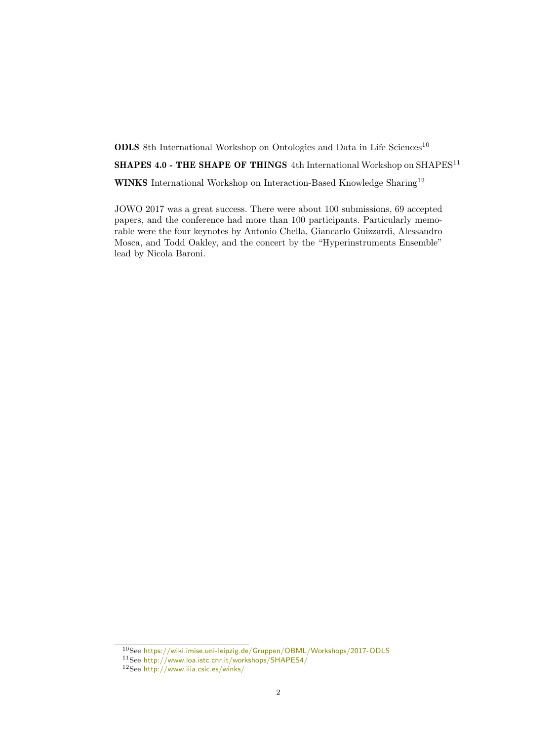**ODLS** 8th International Workshop on Ontologies and Data in Life Sciences<sup>[10](#page-3-0)</sup>

SHAPES 4.0 - THE SHAPE OF THINGS 4th International Workshop on  $SHAPES^{11}$  $SHAPES^{11}$  $SHAPES^{11}$ 

WINKS International Workshop on Interaction-Based Knowledge Sharing<sup>[12](#page-3-2)</sup>

JOWO 2017 was a great success. There were about 100 submissions, 69 accepted papers, and the conference had more than 100 participants. Particularly memorable were the four keynotes by Antonio Chella, Giancarlo Guizzardi, Alessandro Mosca, and Todd Oakley, and the concert by the "Hyperinstruments Ensemble" lead by Nicola Baroni.

<span id="page-3-0"></span><sup>10</sup>See <https://wiki.imise.uni-leipzig.de/Gruppen/OBML/Workshops/2017-ODLS>

<span id="page-3-1"></span><sup>11</sup>See <http://www.loa.istc.cnr.it/workshops/SHAPES4/>

<span id="page-3-2"></span><sup>12</sup>See <http://www.iiia.csic.es/winks/>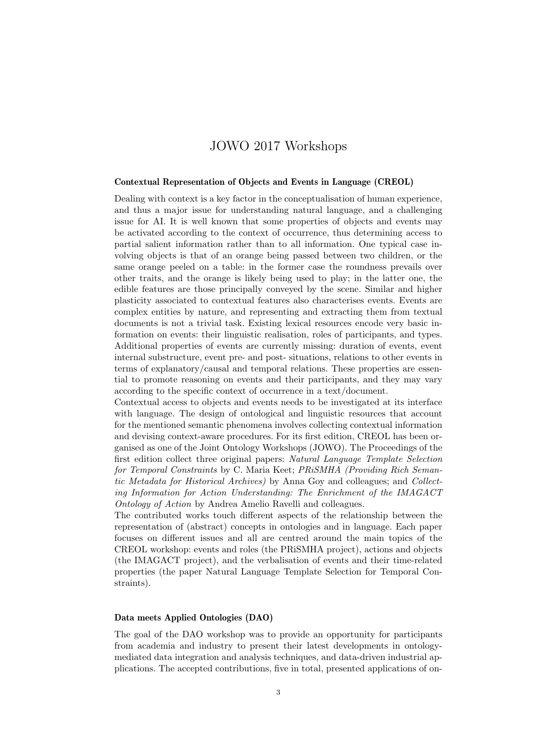# JOWO 2017 Workshops

#### Contextual Representation of Objects and Events in Language (CREOL)

Dealing with context is a key factor in the conceptualisation of human experience, and thus a major issue for understanding natural language, and a challenging issue for AI. It is well known that some properties of objects and events may be activated according to the context of occurrence, thus determining access to partial salient information rather than to all information. One typical case involving objects is that of an orange being passed between two children, or the same orange peeled on a table: in the former case the roundness prevails over other traits, and the orange is likely being used to play; in the latter one, the edible features are those principally conveyed by the scene. Similar and higher plasticity associated to contextual features also characterises events. Events are complex entities by nature, and representing and extracting them from textual documents is not a trivial task. Existing lexical resources encode very basic information on events: their linguistic realisation, roles of participants, and types. Additional properties of events are currently missing: duration of events, event internal substructure, event pre- and post- situations, relations to other events in terms of explanatory/causal and temporal relations. These properties are essential to promote reasoning on events and their participants, and they may vary according to the specific context of occurrence in a text/document.

Contextual access to objects and events needs to be investigated at its interface with language. The design of ontological and linguistic resources that account for the mentioned semantic phenomena involves collecting contextual information and devising context-aware procedures. For its first edition, CREOL has been organised as one of the Joint Ontology Workshops (JOWO). The Proceedings of the first edition collect three original papers: Natural Language Template Selection for Temporal Constraints by C. Maria Keet; PRiSMHA (Providing Rich Semantic Metadata for Historical Archives) by Anna Goy and colleagues; and Collecting Information for Action Understanding: The Enrichment of the IMAGACT Ontology of Action by Andrea Amelio Ravelli and colleagues.

The contributed works touch different aspects of the relationship between the representation of (abstract) concepts in ontologies and in language. Each paper focuses on different issues and all are centred around the main topics of the CREOL workshop: events and roles (the PRiSMHA project), actions and objects (the IMAGACT project), and the verbalisation of events and their time-related properties (the paper Natural Language Template Selection for Temporal Constraints).

#### Data meets Applied Ontologies (DAO)

The goal of the DAO workshop was to provide an opportunity for participants from academia and industry to present their latest developments in ontologymediated data integration and analysis techniques, and data-driven industrial applications. The accepted contributions, five in total, presented applications of on-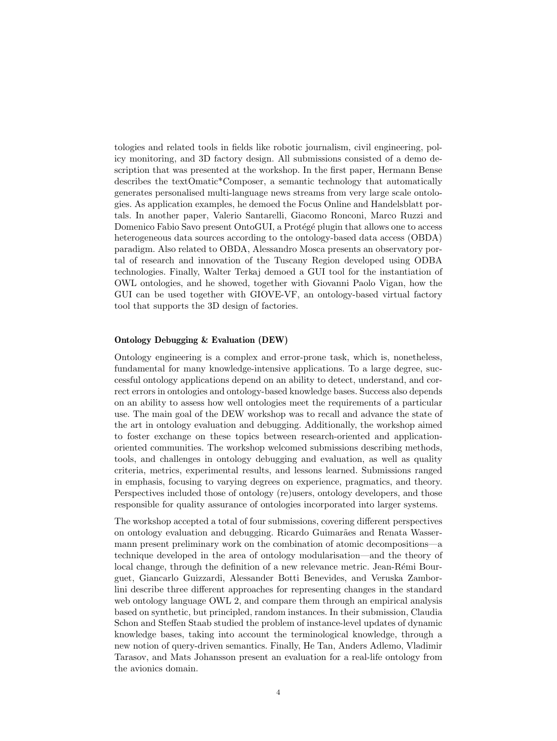tologies and related tools in fields like robotic journalism, civil engineering, policy monitoring, and 3D factory design. All submissions consisted of a demo description that was presented at the workshop. In the first paper, Hermann Bense describes the textOmatic\*Composer, a semantic technology that automatically generates personalised multi-language news streams from very large scale ontologies. As application examples, he demoed the Focus Online and Handelsblatt portals. In another paper, Valerio Santarelli, Giacomo Ronconi, Marco Ruzzi and Domenico Fabio Savo present OntoGUI, a Protégé plugin that allows one to access heterogeneous data sources according to the ontology-based data access (OBDA) paradigm. Also related to OBDA, Alessandro Mosca presents an observatory portal of research and innovation of the Tuscany Region developed using ODBA technologies. Finally, Walter Terkaj demoed a GUI tool for the instantiation of OWL ontologies, and he showed, together with Giovanni Paolo Vigan, how the GUI can be used together with GIOVE-VF, an ontology-based virtual factory tool that supports the 3D design of factories.

#### Ontology Debugging & Evaluation (DEW)

Ontology engineering is a complex and error-prone task, which is, nonetheless, fundamental for many knowledge-intensive applications. To a large degree, successful ontology applications depend on an ability to detect, understand, and correct errors in ontologies and ontology-based knowledge bases. Success also depends on an ability to assess how well ontologies meet the requirements of a particular use. The main goal of the DEW workshop was to recall and advance the state of the art in ontology evaluation and debugging. Additionally, the workshop aimed to foster exchange on these topics between research-oriented and applicationoriented communities. The workshop welcomed submissions describing methods, tools, and challenges in ontology debugging and evaluation, as well as quality criteria, metrics, experimental results, and lessons learned. Submissions ranged in emphasis, focusing to varying degrees on experience, pragmatics, and theory. Perspectives included those of ontology (re)users, ontology developers, and those responsible for quality assurance of ontologies incorporated into larger systems.

The workshop accepted a total of four submissions, covering different perspectives on ontology evaluation and debugging. Ricardo Guimar˜aes and Renata Wassermann present preliminary work on the combination of atomic decompositions—a technique developed in the area of ontology modularisation—and the theory of local change, through the definition of a new relevance metric. Jean-Rémi Bourguet, Giancarlo Guizzardi, Alessander Botti Benevides, and Veruska Zamborlini describe three different approaches for representing changes in the standard web ontology language OWL 2, and compare them through an empirical analysis based on synthetic, but principled, random instances. In their submission, Claudia Schon and Steffen Staab studied the problem of instance-level updates of dynamic knowledge bases, taking into account the terminological knowledge, through a new notion of query-driven semantics. Finally, He Tan, Anders Adlemo, Vladimir Tarasov, and Mats Johansson present an evaluation for a real-life ontology from the avionics domain.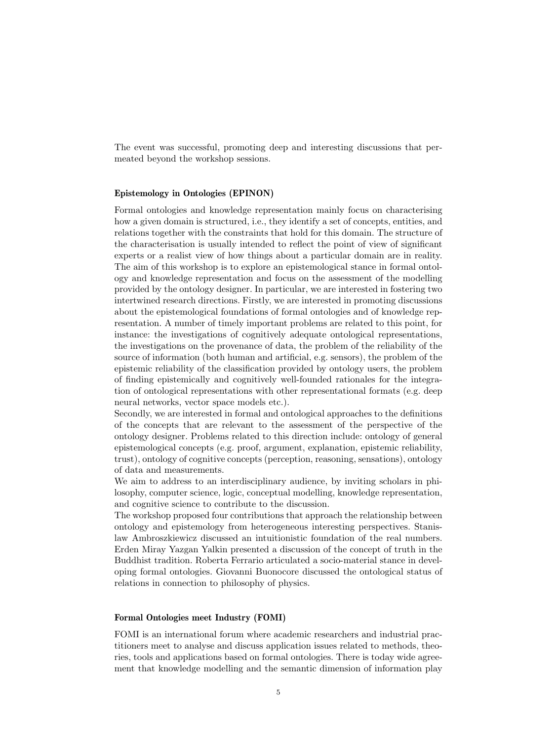The event was successful, promoting deep and interesting discussions that permeated beyond the workshop sessions.

#### Epistemology in Ontologies (EPINON)

Formal ontologies and knowledge representation mainly focus on characterising how a given domain is structured, i.e., they identify a set of concepts, entities, and relations together with the constraints that hold for this domain. The structure of the characterisation is usually intended to reflect the point of view of significant experts or a realist view of how things about a particular domain are in reality. The aim of this workshop is to explore an epistemological stance in formal ontology and knowledge representation and focus on the assessment of the modelling provided by the ontology designer. In particular, we are interested in fostering two intertwined research directions. Firstly, we are interested in promoting discussions about the epistemological foundations of formal ontologies and of knowledge representation. A number of timely important problems are related to this point, for instance: the investigations of cognitively adequate ontological representations, the investigations on the provenance of data, the problem of the reliability of the source of information (both human and artificial, e.g. sensors), the problem of the epistemic reliability of the classification provided by ontology users, the problem of finding epistemically and cognitively well-founded rationales for the integration of ontological representations with other representational formats (e.g. deep neural networks, vector space models etc.).

Secondly, we are interested in formal and ontological approaches to the definitions of the concepts that are relevant to the assessment of the perspective of the ontology designer. Problems related to this direction include: ontology of general epistemological concepts (e.g. proof, argument, explanation, epistemic reliability, trust), ontology of cognitive concepts (perception, reasoning, sensations), ontology of data and measurements.

We aim to address to an interdisciplinary audience, by inviting scholars in philosophy, computer science, logic, conceptual modelling, knowledge representation, and cognitive science to contribute to the discussion.

The workshop proposed four contributions that approach the relationship between ontology and epistemology from heterogeneous interesting perspectives. Stanislaw Ambroszkiewicz discussed an intuitionistic foundation of the real numbers. Erden Miray Yazgan Yalkin presented a discussion of the concept of truth in the Buddhist tradition. Roberta Ferrario articulated a socio-material stance in developing formal ontologies. Giovanni Buonocore discussed the ontological status of relations in connection to philosophy of physics.

#### Formal Ontologies meet Industry (FOMI)

FOMI is an international forum where academic researchers and industrial practitioners meet to analyse and discuss application issues related to methods, theories, tools and applications based on formal ontologies. There is today wide agreement that knowledge modelling and the semantic dimension of information play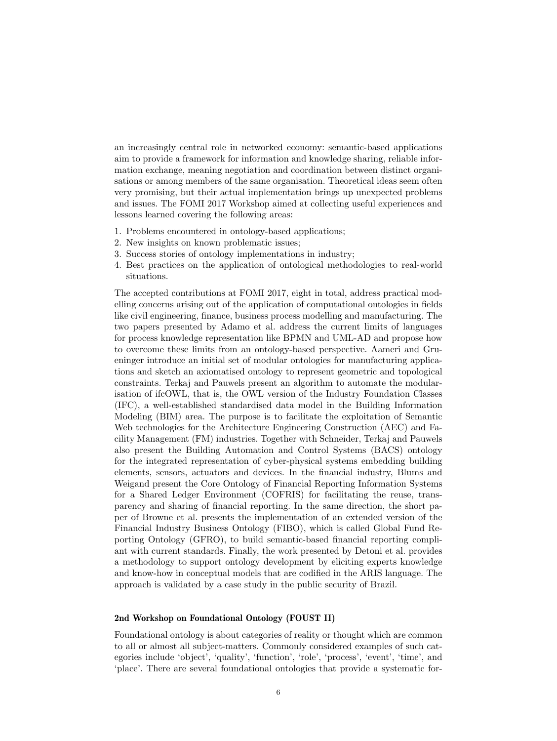an increasingly central role in networked economy: semantic-based applications aim to provide a framework for information and knowledge sharing, reliable information exchange, meaning negotiation and coordination between distinct organisations or among members of the same organisation. Theoretical ideas seem often very promising, but their actual implementation brings up unexpected problems and issues. The FOMI 2017 Workshop aimed at collecting useful experiences and lessons learned covering the following areas:

- 1. Problems encountered in ontology-based applications;
- 2. New insights on known problematic issues;
- 3. Success stories of ontology implementations in industry;
- 4. Best practices on the application of ontological methodologies to real-world situations.

The accepted contributions at FOMI 2017, eight in total, address practical modelling concerns arising out of the application of computational ontologies in fields like civil engineering, finance, business process modelling and manufacturing. The two papers presented by Adamo et al. address the current limits of languages for process knowledge representation like BPMN and UML-AD and propose how to overcome these limits from an ontology-based perspective. Aameri and Grueninger introduce an initial set of modular ontologies for manufacturing applications and sketch an axiomatised ontology to represent geometric and topological constraints. Terkaj and Pauwels present an algorithm to automate the modularisation of ifcOWL, that is, the OWL version of the Industry Foundation Classes (IFC), a well-established standardised data model in the Building Information Modeling (BIM) area. The purpose is to facilitate the exploitation of Semantic Web technologies for the Architecture Engineering Construction (AEC) and Facility Management (FM) industries. Together with Schneider, Terkaj and Pauwels also present the Building Automation and Control Systems (BACS) ontology for the integrated representation of cyber-physical systems embedding building elements, sensors, actuators and devices. In the financial industry, Blums and Weigand present the Core Ontology of Financial Reporting Information Systems for a Shared Ledger Environment (COFRIS) for facilitating the reuse, transparency and sharing of financial reporting. In the same direction, the short paper of Browne et al. presents the implementation of an extended version of the Financial Industry Business Ontology (FIBO), which is called Global Fund Reporting Ontology (GFRO), to build semantic-based financial reporting compliant with current standards. Finally, the work presented by Detoni et al. provides a methodology to support ontology development by eliciting experts knowledge and know-how in conceptual models that are codified in the ARIS language. The approach is validated by a case study in the public security of Brazil.

#### 2nd Workshop on Foundational Ontology (FOUST II)

Foundational ontology is about categories of reality or thought which are common to all or almost all subject-matters. Commonly considered examples of such categories include 'object', 'quality', 'function', 'role', 'process', 'event', 'time', and 'place'. There are several foundational ontologies that provide a systematic for-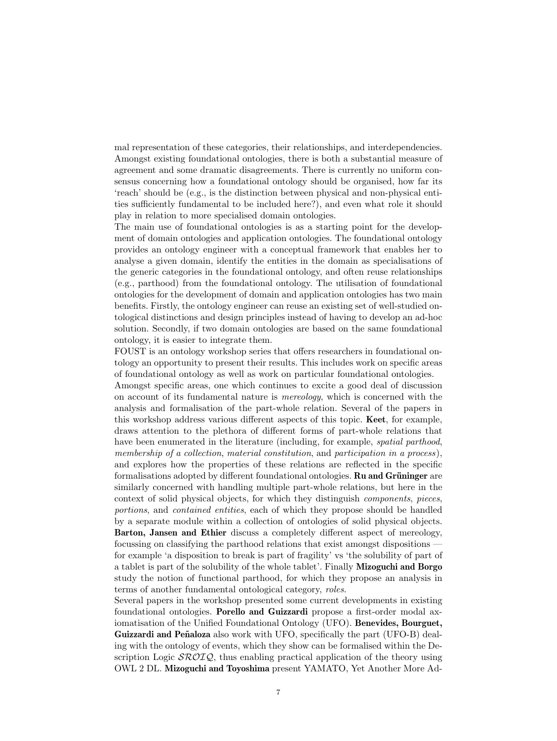mal representation of these categories, their relationships, and interdependencies. Amongst existing foundational ontologies, there is both a substantial measure of agreement and some dramatic disagreements. There is currently no uniform consensus concerning how a foundational ontology should be organised, how far its 'reach' should be (e.g., is the distinction between physical and non-physical entities sufficiently fundamental to be included here?), and even what role it should play in relation to more specialised domain ontologies.

The main use of foundational ontologies is as a starting point for the development of domain ontologies and application ontologies. The foundational ontology provides an ontology engineer with a conceptual framework that enables her to analyse a given domain, identify the entities in the domain as specialisations of the generic categories in the foundational ontology, and often reuse relationships (e.g., parthood) from the foundational ontology. The utilisation of foundational ontologies for the development of domain and application ontologies has two main benefits. Firstly, the ontology engineer can reuse an existing set of well-studied ontological distinctions and design principles instead of having to develop an ad-hoc solution. Secondly, if two domain ontologies are based on the same foundational ontology, it is easier to integrate them.

FOUST is an ontology workshop series that offers researchers in foundational ontology an opportunity to present their results. This includes work on specific areas of foundational ontology as well as work on particular foundational ontologies.

Amongst specific areas, one which continues to excite a good deal of discussion on account of its fundamental nature is mereology, which is concerned with the analysis and formalisation of the part-whole relation. Several of the papers in this workshop address various different aspects of this topic. Keet, for example, draws attention to the plethora of different forms of part-whole relations that have been enumerated in the literature (including, for example, *spatial parthood*, membership of a collection, material constitution, and participation in a process), and explores how the properties of these relations are reflected in the specific formalisations adopted by different foundational ontologies. **Ru and Grüninger** are similarly concerned with handling multiple part-whole relations, but here in the context of solid physical objects, for which they distinguish components, pieces, portions, and contained entities, each of which they propose should be handled by a separate module within a collection of ontologies of solid physical objects. Barton, Jansen and Ethier discuss a completely different aspect of mereology, focussing on classifying the parthood relations that exist amongst dispositions for example 'a disposition to break is part of fragility' vs 'the solubility of part of a tablet is part of the solubility of the whole tablet'. Finally Mizoguchi and Borgo study the notion of functional parthood, for which they propose an analysis in terms of another fundamental ontological category, roles.

Several papers in the workshop presented some current developments in existing foundational ontologies. Porello and Guizzardi propose a first-order modal axiomatisation of the Unified Foundational Ontology (UFO). Benevides, Bourguet, Guizzardi and Peñaloza also work with UFO, specifically the part (UFO-B) dealing with the ontology of events, which they show can be formalised within the Description Logic  $\mathcal{SROLQ}$ , thus enabling practical application of the theory using OWL 2 DL. Mizoguchi and Toyoshima present YAMATO, Yet Another More Ad-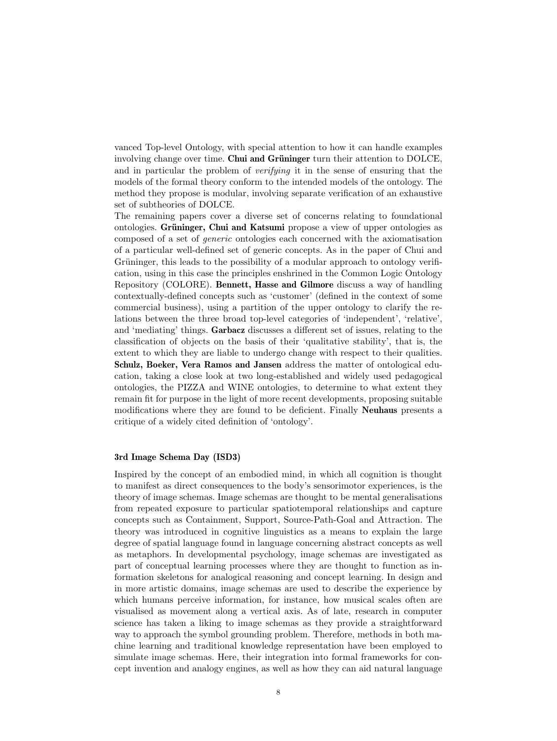vanced Top-level Ontology, with special attention to how it can handle examples involving change over time. Chui and Grüninger turn their attention to DOLCE, and in particular the problem of *verifying* it in the sense of ensuring that the models of the formal theory conform to the intended models of the ontology. The method they propose is modular, involving separate verification of an exhaustive set of subtheories of DOLCE.

The remaining papers cover a diverse set of concerns relating to foundational ontologies. Grüninger, Chui and Katsumi propose a view of upper ontologies as composed of a set of generic ontologies each concerned with the axiomatisation of a particular well-defined set of generic concepts. As in the paper of Chui and Grüninger, this leads to the possibility of a modular approach to ontology verification, using in this case the principles enshrined in the Common Logic Ontology Repository (COLORE). Bennett, Hasse and Gilmore discuss a way of handling contextually-defined concepts such as 'customer' (defined in the context of some commercial business), using a partition of the upper ontology to clarify the relations between the three broad top-level categories of 'independent', 'relative', and 'mediating' things. Garbacz discusses a different set of issues, relating to the classification of objects on the basis of their 'qualitative stability', that is, the extent to which they are liable to undergo change with respect to their qualities. Schulz, Boeker, Vera Ramos and Jansen address the matter of ontological education, taking a close look at two long-established and widely used pedagogical ontologies, the PIZZA and WINE ontologies, to determine to what extent they remain fit for purpose in the light of more recent developments, proposing suitable modifications where they are found to be deficient. Finally Neuhaus presents a critique of a widely cited definition of 'ontology'.

#### 3rd Image Schema Day (ISD3)

Inspired by the concept of an embodied mind, in which all cognition is thought to manifest as direct consequences to the body's sensorimotor experiences, is the theory of image schemas. Image schemas are thought to be mental generalisations from repeated exposure to particular spatiotemporal relationships and capture concepts such as Containment, Support, Source-Path-Goal and Attraction. The theory was introduced in cognitive linguistics as a means to explain the large degree of spatial language found in language concerning abstract concepts as well as metaphors. In developmental psychology, image schemas are investigated as part of conceptual learning processes where they are thought to function as information skeletons for analogical reasoning and concept learning. In design and in more artistic domains, image schemas are used to describe the experience by which humans perceive information, for instance, how musical scales often are visualised as movement along a vertical axis. As of late, research in computer science has taken a liking to image schemas as they provide a straightforward way to approach the symbol grounding problem. Therefore, methods in both machine learning and traditional knowledge representation have been employed to simulate image schemas. Here, their integration into formal frameworks for concept invention and analogy engines, as well as how they can aid natural language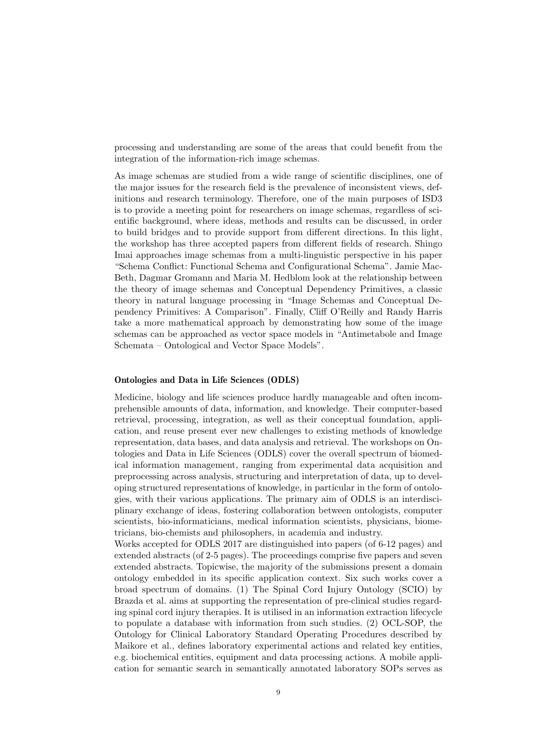processing and understanding are some of the areas that could benefit from the integration of the information-rich image schemas.

As image schemas are studied from a wide range of scientific disciplines, one of the major issues for the research field is the prevalence of inconsistent views, definitions and research terminology. Therefore, one of the main purposes of ISD3 is to provide a meeting point for researchers on image schemas, regardless of scientific background, where ideas, methods and results can be discussed, in order to build bridges and to provide support from different directions. In this light, the workshop has three accepted papers from different fields of research. Shingo Imai approaches image schemas from a multi-linguistic perspective in his paper "Schema Conflict: Functional Schema and Configurational Schema". Jamie Mac-Beth, Dagmar Gromann and Maria M. Hedblom look at the relationship between the theory of image schemas and Conceptual Dependency Primitives, a classic theory in natural language processing in "Image Schemas and Conceptual Dependency Primitives: A Comparison". Finally, Cliff O'Reilly and Randy Harris take a more mathematical approach by demonstrating how some of the image schemas can be approached as vector space models in "Antimetabole and Image Schemata – Ontological and Vector Space Models".

#### Ontologies and Data in Life Sciences (ODLS)

Medicine, biology and life sciences produce hardly manageable and often incomprehensible amounts of data, information, and knowledge. Their computer-based retrieval, processing, integration, as well as their conceptual foundation, application, and reuse present ever new challenges to existing methods of knowledge representation, data bases, and data analysis and retrieval. The workshops on Ontologies and Data in Life Sciences (ODLS) cover the overall spectrum of biomedical information management, ranging from experimental data acquisition and preprocessing across analysis, structuring and interpretation of data, up to developing structured representations of knowledge, in particular in the form of ontologies, with their various applications. The primary aim of ODLS is an interdisciplinary exchange of ideas, fostering collaboration between ontologists, computer scientists, bio-informaticians, medical information scientists, physicians, biometricians, bio-chemists and philosophers, in academia and industry.

Works accepted for ODLS 2017 are distinguished into papers (of 6-12 pages) and extended abstracts (of 2-5 pages). The proceedings comprise five papers and seven extended abstracts. Topicwise, the majority of the submissions present a domain ontology embedded in its specific application context. Six such works cover a broad spectrum of domains. (1) The Spinal Cord Injury Ontology (SCIO) by Brazda et al. aims at supporting the representation of pre-clinical studies regarding spinal cord injury therapies. It is utilised in an information extraction lifecycle to populate a database with information from such studies. (2) OCL-SOP, the Ontology for Clinical Laboratory Standard Operating Procedures described by Maikore et al., defines laboratory experimental actions and related key entities, e.g. biochemical entities, equipment and data processing actions. A mobile application for semantic search in semantically annotated laboratory SOPs serves as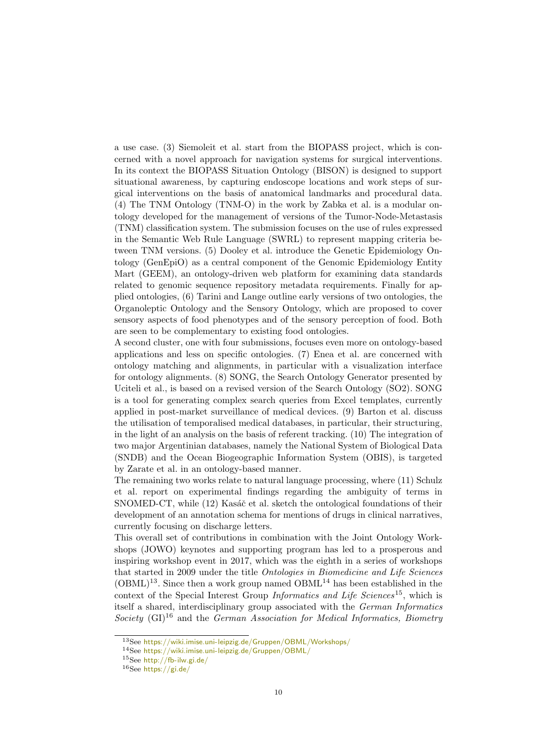a use case. (3) Siemoleit et al. start from the BIOPASS project, which is concerned with a novel approach for navigation systems for surgical interventions. In its context the BIOPASS Situation Ontology (BISON) is designed to support situational awareness, by capturing endoscope locations and work steps of surgical interventions on the basis of anatomical landmarks and procedural data. (4) The TNM Ontology (TNM-O) in the work by Zabka et al. is a modular ontology developed for the management of versions of the Tumor-Node-Metastasis (TNM) classification system. The submission focuses on the use of rules expressed in the Semantic Web Rule Language (SWRL) to represent mapping criteria between TNM versions. (5) Dooley et al. introduce the Genetic Epidemiology Ontology (GenEpiO) as a central component of the Genomic Epidemiology Entity Mart (GEEM), an ontology-driven web platform for examining data standards related to genomic sequence repository metadata requirements. Finally for applied ontologies, (6) Tarini and Lange outline early versions of two ontologies, the Organoleptic Ontology and the Sensory Ontology, which are proposed to cover sensory aspects of food phenotypes and of the sensory perception of food. Both are seen to be complementary to existing food ontologies.

A second cluster, one with four submissions, focuses even more on ontology-based applications and less on specific ontologies. (7) Enea et al. are concerned with ontology matching and alignments, in particular with a visualization interface for ontology alignments. (8) SONG, the Search Ontology Generator presented by Uciteli et al., is based on a revised version of the Search Ontology (SO2). SONG is a tool for generating complex search queries from Excel templates, currently applied in post-market surveillance of medical devices. (9) Barton et al. discuss the utilisation of temporalised medical databases, in particular, their structuring, in the light of an analysis on the basis of referent tracking. (10) The integration of two major Argentinian databases, namely the National System of Biological Data (SNDB) and the Ocean Biogeographic Information System (OBIS), is targeted by Zarate et al. in an ontology-based manner.

The remaining two works relate to natural language processing, where (11) Schulz et al. report on experimental findings regarding the ambiguity of terms in SNOMED-CT, while (12) Kasáč et al. sketch the ontological foundations of their development of an annotation schema for mentions of drugs in clinical narratives, currently focusing on discharge letters.

This overall set of contributions in combination with the Joint Ontology Workshops (JOWO) keynotes and supporting program has led to a prosperous and inspiring workshop event in 2017, which was the eighth in a series of workshops that started in 2009 under the title Ontologies in Biomedicine and Life Sciences  $(OBML)^{13}$  $(OBML)^{13}$  $(OBML)^{13}$ . Since then a work group named  $OBML^{14}$  $OBML^{14}$  $OBML^{14}$  has been established in the context of the Special Interest Group Informatics and Life Sciences<sup>[15](#page-11-2)</sup>, which is itself a shared, interdisciplinary group associated with the German Informatics Society  $(GI)^{16}$  $(GI)^{16}$  $(GI)^{16}$  and the German Association for Medical Informatics, Biometry

<span id="page-11-0"></span><sup>13</sup>See <https://wiki.imise.uni-leipzig.de/Gruppen/OBML/Workshops/>

<span id="page-11-1"></span><sup>14</sup>See <https://wiki.imise.uni-leipzig.de/Gruppen/OBML/>

<span id="page-11-2"></span><sup>15</sup>See <http://fb-ilw.gi.de/>

<span id="page-11-3"></span><sup>16</sup>See <https://gi.de/>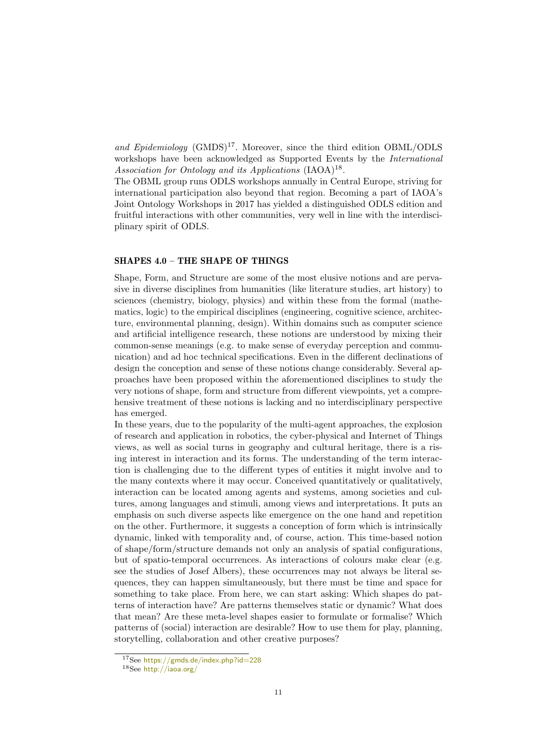and Epidemiology  $(GMDS)^{17}$  $(GMDS)^{17}$  $(GMDS)^{17}$ . Moreover, since the third edition OBML/ODLS workshops have been acknowledged as Supported Events by the International Association for Ontology and its Applications (IAOA)<sup>[18](#page-12-1)</sup>.

The OBML group runs ODLS workshops annually in Central Europe, striving for international participation also beyond that region. Becoming a part of IAOA's Joint Ontology Workshops in 2017 has yielded a distinguished ODLS edition and fruitful interactions with other communities, very well in line with the interdisciplinary spirit of ODLS.

#### SHAPES 4.0 – THE SHAPE OF THINGS

Shape, Form, and Structure are some of the most elusive notions and are pervasive in diverse disciplines from humanities (like literature studies, art history) to sciences (chemistry, biology, physics) and within these from the formal (mathematics, logic) to the empirical disciplines (engineering, cognitive science, architecture, environmental planning, design). Within domains such as computer science and artificial intelligence research, these notions are understood by mixing their common-sense meanings (e.g. to make sense of everyday perception and communication) and ad hoc technical specifications. Even in the different declinations of design the conception and sense of these notions change considerably. Several approaches have been proposed within the aforementioned disciplines to study the very notions of shape, form and structure from different viewpoints, yet a comprehensive treatment of these notions is lacking and no interdisciplinary perspective has emerged.

In these years, due to the popularity of the multi-agent approaches, the explosion of research and application in robotics, the cyber-physical and Internet of Things views, as well as social turns in geography and cultural heritage, there is a rising interest in interaction and its forms. The understanding of the term interaction is challenging due to the different types of entities it might involve and to the many contexts where it may occur. Conceived quantitatively or qualitatively, interaction can be located among agents and systems, among societies and cultures, among languages and stimuli, among views and interpretations. It puts an emphasis on such diverse aspects like emergence on the one hand and repetition on the other. Furthermore, it suggests a conception of form which is intrinsically dynamic, linked with temporality and, of course, action. This time-based notion of shape/form/structure demands not only an analysis of spatial configurations, but of spatio-temporal occurrences. As interactions of colours make clear (e.g. see the studies of Josef Albers), these occurrences may not always be literal sequences, they can happen simultaneously, but there must be time and space for something to take place. From here, we can start asking: Which shapes do patterns of interaction have? Are patterns themselves static or dynamic? What does that mean? Are these meta-level shapes easier to formulate or formalise? Which patterns of (social) interaction are desirable? How to use them for play, planning, storytelling, collaboration and other creative purposes?

<span id="page-12-0"></span><sup>17</sup>See <https://gmds.de/index.php?id=228>

<span id="page-12-1"></span><sup>18</sup>See <http://iaoa.org/>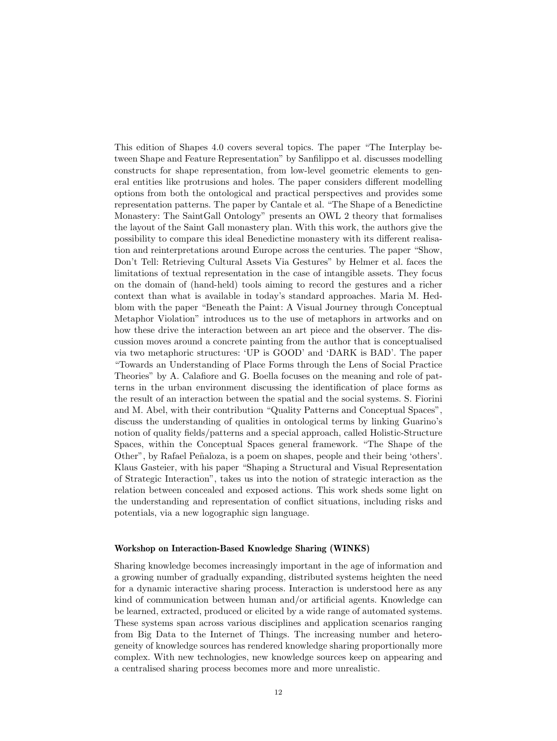This edition of Shapes 4.0 covers several topics. The paper "The Interplay between Shape and Feature Representation" by Sanfilippo et al. discusses modelling constructs for shape representation, from low-level geometric elements to general entities like protrusions and holes. The paper considers different modelling options from both the ontological and practical perspectives and provides some representation patterns. The paper by Cantale et al. "The Shape of a Benedictine Monastery: The SaintGall Ontology" presents an OWL 2 theory that formalises the layout of the Saint Gall monastery plan. With this work, the authors give the possibility to compare this ideal Benedictine monastery with its different realisation and reinterpretations around Europe across the centuries. The paper "Show, Don't Tell: Retrieving Cultural Assets Via Gestures" by Helmer et al. faces the limitations of textual representation in the case of intangible assets. They focus on the domain of (hand-held) tools aiming to record the gestures and a richer context than what is available in today's standard approaches. Maria M. Hedblom with the paper "Beneath the Paint: A Visual Journey through Conceptual Metaphor Violation" introduces us to the use of metaphors in artworks and on how these drive the interaction between an art piece and the observer. The discussion moves around a concrete painting from the author that is conceptualised via two metaphoric structures: 'UP is GOOD' and 'DARK is BAD'. The paper "Towards an Understanding of Place Forms through the Lens of Social Practice Theories" by A. Calafiore and G. Boella focuses on the meaning and role of patterns in the urban environment discussing the identification of place forms as the result of an interaction between the spatial and the social systems. S. Fiorini and M. Abel, with their contribution "Quality Patterns and Conceptual Spaces", discuss the understanding of qualities in ontological terms by linking Guarino's notion of quality fields/patterns and a special approach, called Holistic-Structure Spaces, within the Conceptual Spaces general framework. "The Shape of the Other", by Rafael Peñaloza, is a poem on shapes, people and their being 'others'. Klaus Gasteier, with his paper "Shaping a Structural and Visual Representation of Strategic Interaction", takes us into the notion of strategic interaction as the relation between concealed and exposed actions. This work sheds some light on the understanding and representation of conflict situations, including risks and potentials, via a new logographic sign language.

#### Workshop on Interaction-Based Knowledge Sharing (WINKS)

Sharing knowledge becomes increasingly important in the age of information and a growing number of gradually expanding, distributed systems heighten the need for a dynamic interactive sharing process. Interaction is understood here as any kind of communication between human and/or artificial agents. Knowledge can be learned, extracted, produced or elicited by a wide range of automated systems. These systems span across various disciplines and application scenarios ranging from Big Data to the Internet of Things. The increasing number and heterogeneity of knowledge sources has rendered knowledge sharing proportionally more complex. With new technologies, new knowledge sources keep on appearing and a centralised sharing process becomes more and more unrealistic.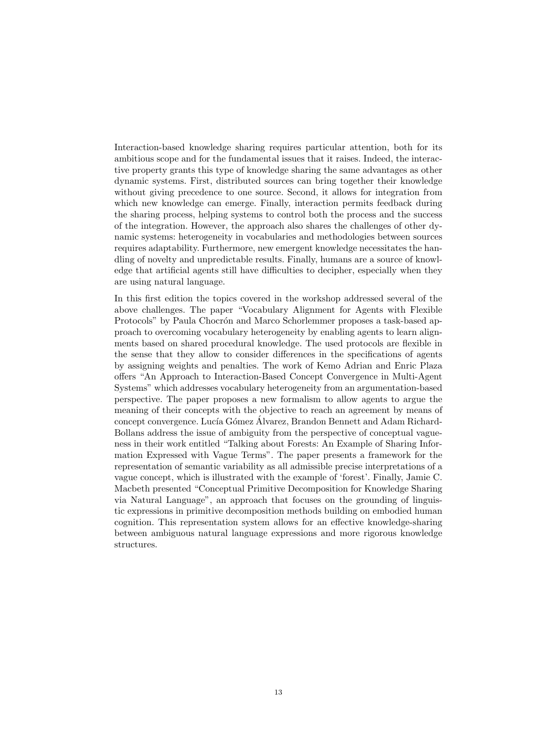Interaction-based knowledge sharing requires particular attention, both for its ambitious scope and for the fundamental issues that it raises. Indeed, the interactive property grants this type of knowledge sharing the same advantages as other dynamic systems. First, distributed sources can bring together their knowledge without giving precedence to one source. Second, it allows for integration from which new knowledge can emerge. Finally, interaction permits feedback during the sharing process, helping systems to control both the process and the success of the integration. However, the approach also shares the challenges of other dynamic systems: heterogeneity in vocabularies and methodologies between sources requires adaptability. Furthermore, new emergent knowledge necessitates the handling of novelty and unpredictable results. Finally, humans are a source of knowledge that artificial agents still have difficulties to decipher, especially when they are using natural language.

In this first edition the topics covered in the workshop addressed several of the above challenges. The paper "Vocabulary Alignment for Agents with Flexible Protocols" by Paula Chocrón and Marco Schorlemmer proposes a task-based approach to overcoming vocabulary heterogeneity by enabling agents to learn alignments based on shared procedural knowledge. The used protocols are flexible in the sense that they allow to consider differences in the specifications of agents by assigning weights and penalties. The work of Kemo Adrian and Enric Plaza offers "An Approach to Interaction-Based Concept Convergence in Multi-Agent Systems" which addresses vocabulary heterogeneity from an argumentation-based perspective. The paper proposes a new formalism to allow agents to argue the meaning of their concepts with the objective to reach an agreement by means of concept convergence. Lucía Gómez Álvarez, Brandon Bennett and Adam Richard-Bollans address the issue of ambiguity from the perspective of conceptual vagueness in their work entitled "Talking about Forests: An Example of Sharing Information Expressed with Vague Terms". The paper presents a framework for the representation of semantic variability as all admissible precise interpretations of a vague concept, which is illustrated with the example of 'forest'. Finally, Jamie C. Macbeth presented "Conceptual Primitive Decomposition for Knowledge Sharing via Natural Language", an approach that focuses on the grounding of linguistic expressions in primitive decomposition methods building on embodied human cognition. This representation system allows for an effective knowledge-sharing between ambiguous natural language expressions and more rigorous knowledge structures.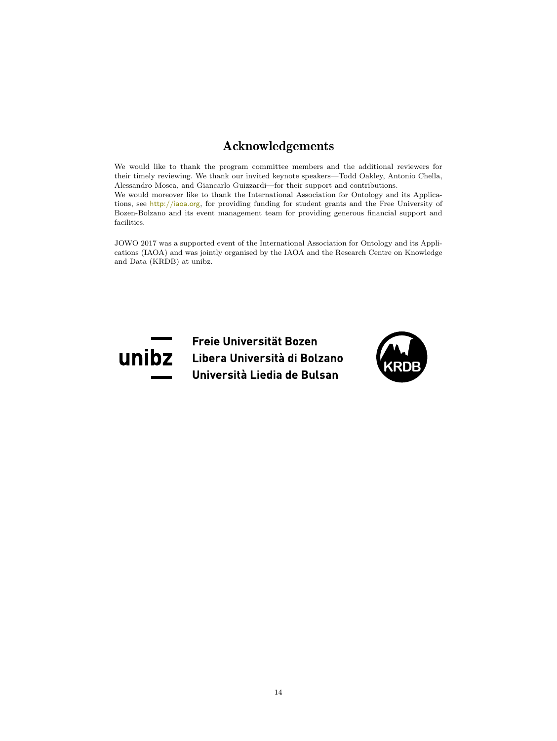# Acknowledgements

We would like to thank the program committee members and the additional reviewers for their timely reviewing. We thank our invited keynote speakers—Todd Oakley, Antonio Chella, Alessandro Mosca, and Giancarlo Guizzardi—for their support and contributions. We would moreover like to thank the International Association for Ontology and its Applications, see <http://iaoa.org>, for providing funding for student grants and the Free University of Bozen-Bolzano and its event management team for providing generous financial support and facilities.

JOWO 2017 was a supported event of the International Association for Ontology and its Applications (IAOA) and was jointly organised by the IAOA and the Research Centre on Knowledge and Data (KRDB) at unibz.



Freie Universität Bozen Libera Università di Bolzano Università Liedia de Bulsan

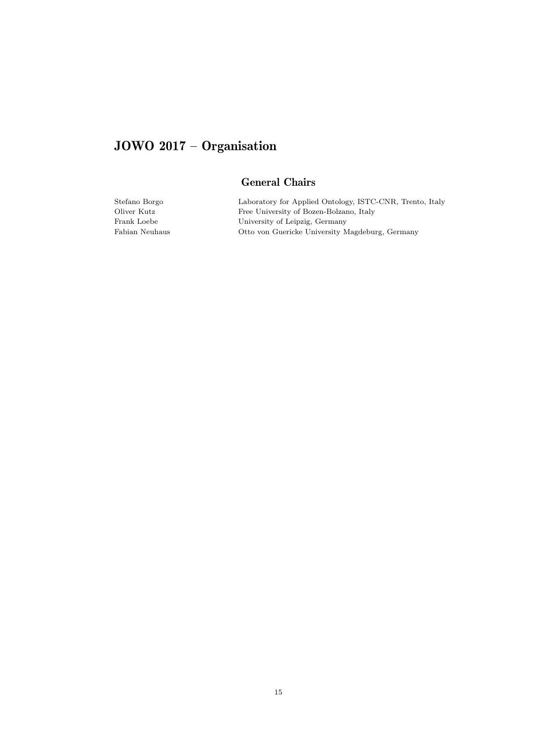# JOWO 2017 – Organisation

# General Chairs

Stefano Borgo Laboratory for Applied Ontology, ISTC-CNR, Trento, Italy Free University of Bozen-Bolzano, Italy Frank Loebe University of Leipzig, Germany Fabian Neuhaus Otto von Guericke University Magdeburg, Germany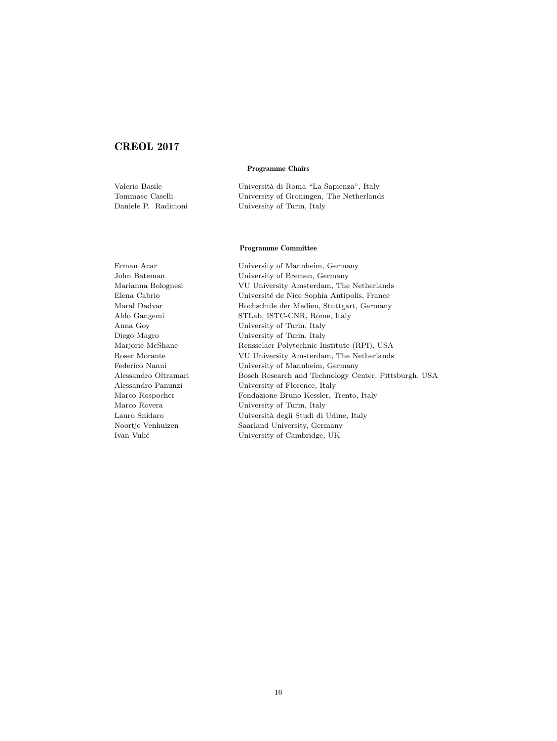## CREOL 2017

Programme Chairs

Valerio Basile Università di Roma "La Sapienza", Italy Tommaso Caselli University of Groningen, The Netherlands Daniele P. Radicioni University of Turin, Italy

#### Programme Committee

Erman Acar University of Mannheim, Germany John Bateman University of Bremen, Germany Marianna Bolognesi VU University Amsterdam, The Netherlands Elena Cabrio Université de Nice Sophia Antipolis, France Maral Dadvar Hochschule der Medien, Stuttgart, Germany Aldo Gangemi STLab, ISTC-CNR, Rome, Italy Anna Goy University of Turin, Italy Diego Magro University of Turin, Italy Marjorie McShane Rensselaer Polytechnic Institute (RPI), USA Roser Morante VU University Amsterdam, The Netherlands Federico Nanni University of Mannheim, Germany Alessandro Oltramari Bosch Research and Technology Center, Pittsburgh, USA Alessandro Panunzi University of Florence, Italy Marco Rospocher Fondazione Bruno Kessler, Trento, Italy Marco Rovera University of Turin, Italy Lauro Snidaro Università degli Studi di Udine, Italy Noortje Venhuizen Saarland University, Germany Ivan Vulić University of Cambridge, UK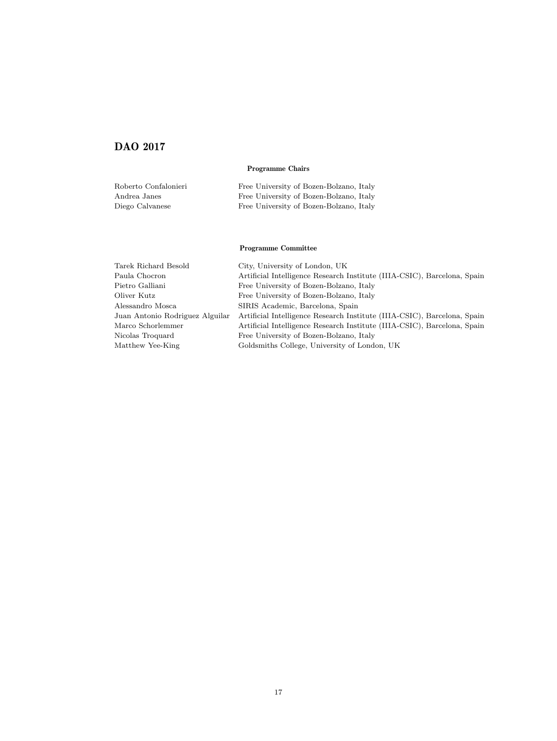# DAO 2017

#### Programme Chairs

| Roberto Confalonieri | Free University of Bozen-Bolzano, Italy |
|----------------------|-----------------------------------------|
| Andrea Janes         | Free University of Bozen-Bolzano, Italy |
| Diego Calvanese      | Free University of Bozen-Bolzano, Italy |

#### Programme Committee

| Tarek Richard Besold            | City, University of London, UK                                           |
|---------------------------------|--------------------------------------------------------------------------|
| Paula Chocron                   | Artificial Intelligence Research Institute (IIIA-CSIC), Barcelona, Spain |
| Pietro Galliani                 | Free University of Bozen-Bolzano, Italy                                  |
| Oliver Kutz                     | Free University of Bozen-Bolzano, Italy                                  |
| Alessandro Mosca                | SIRIS Academic, Barcelona, Spain                                         |
| Juan Antonio Rodriguez Alguilar | Artificial Intelligence Research Institute (IIIA-CSIC), Barcelona, Spain |
| Marco Schorlemmer               | Artificial Intelligence Research Institute (IIIA-CSIC), Barcelona, Spain |
| Nicolas Troquard                | Free University of Bozen-Bolzano, Italy                                  |
| Matthew Yee-King                | Goldsmiths College, University of London, UK                             |
|                                 |                                                                          |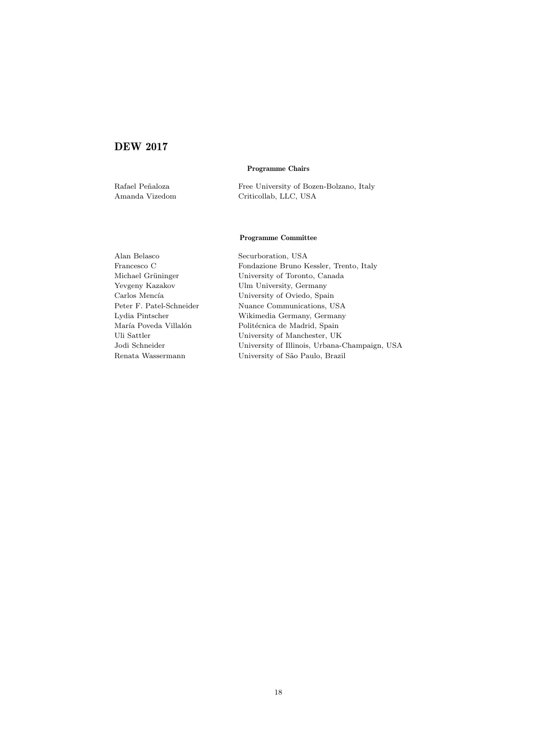## DEW 2017

#### Programme Chairs

Rafael Peñaloza Free University of Bozen-Bolzano, Italy Amanda Vizedom Criticollab, LLC, USA

#### Programme Committee

Alan Belasco Securboration, USA Francesco C<br/> Fondazione Bruno Kessler, Trento, Italy Michael Grüninger University of Toronto, Canada Yevgeny Kazakov Ulm University, Germany Carlos Menc´ıa University of Oviedo, Spain Nuance Communications, USA Lydia Pintscher Wikimedia Germany, Germany María Poveda Villalón Politécnica de Madrid, Spain Uli Sattler University of Manchester, UK Jodi Schneider University of Illinois, Urbana-Champaign, USA Renata Wassermann University of São Paulo, Brazil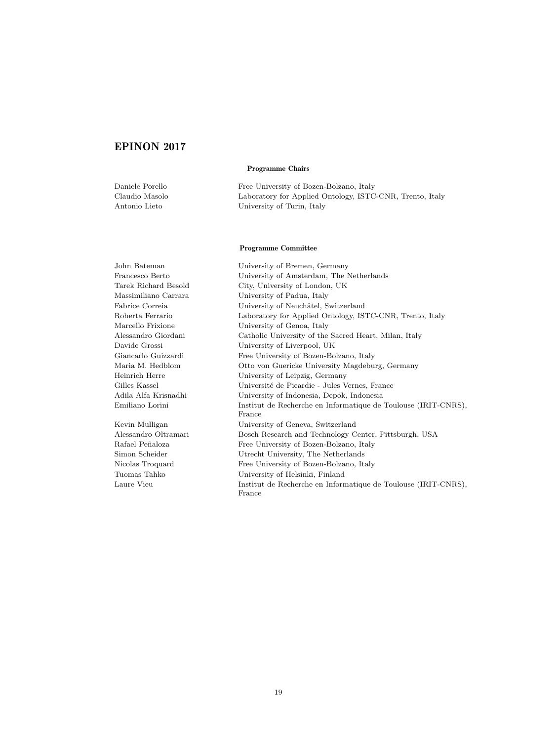### EPINON 2017

#### Programme Chairs

Daniele Porello Free University of Bozen-Bolzano, Italy Claudio Masolo Laboratory for Applied Ontology, ISTC-CNR, Trento, Italy Antonio Lieto University of Turin, Italy

#### Programme Committee

John Bateman University of Bremen, Germany Francesco Berto University of Amsterdam, The Netherlands Tarek Richard Besold City, University of London, UK Massimiliano Carrara University of Padua, Italy Fabrice Correia University of Neuchâtel, Switzerland Roberta Ferrario Laboratory for Applied Ontology, ISTC-CNR, Trento, Italy Marcello Frixione University of Genoa, Italy Alessandro Giordani Catholic University of the Sacred Heart, Milan, Italy Davide Grossi University of Liverpool, UK Giancarlo Guizzardi Free University of Bozen-Bolzano, Italy Maria M. Hedblom Otto von Guericke University Magdeburg, Germany Heinrich Herre University of Leipzig, Germany Gilles Kassel Université de Picardie - Jules Vernes, France Adila Alfa Krisnadhi University of Indonesia, Depok, Indonesia Emiliano Lorini Institut de Recherche en Informatique de Toulouse (IRIT-CNRS), France Kevin Mulligan University of Geneva, Switzerland Alessandro Oltramari Bosch Research and Technology Center, Pittsburgh, USA Rafael Peñaloza Free University of Bozen-Bolzano, Italy Simon Scheider Utrecht University, The Netherlands Nicolas Troquard Free University of Bozen-Bolzano, Italy Tuomas Tahko University of Helsinki, Finland Laure Vieu Institut de Recherche en Informatique de Toulouse (IRIT-CNRS), France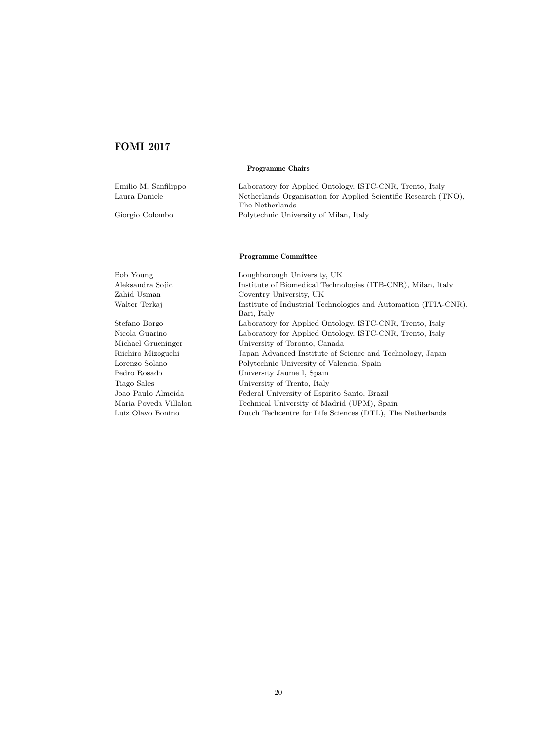## FOMI 2017

#### Programme Chairs

| Emilio M. Sanfilippo | Laboratory for Applied Ontology, ISTC-CNR, Trento, Italy                           |
|----------------------|------------------------------------------------------------------------------------|
| Laura Daniele        | Netherlands Organisation for Applied Scientific Research (TNO),<br>The Netherlands |
| Giorgio Colombo      | Polytechnic University of Milan, Italy                                             |
|                      | <b>Programme Committee</b>                                                         |
| Bob Young            | Loughborough University, UK                                                        |
| Aleksandra Sojic     | Institute of Biomedical Technologies (ITB-CNR), Milan, Italy                       |
| Zahid Usman          | Coventry University, UK                                                            |
| Walter Terkaj        | Institute of Industrial Technologies and Automation (ITIA-CNR),<br>Bari, Italy     |

Stefano Borgo Laboratory for Applied Ontology, ISTC-CNR, Trento, Italy Nicola Guarino Laboratory for Applied Ontology, ISTC-CNR, Trento, Italy Michael Grueninger University of Toronto, Canada Riichiro Mizoguchi Japan Advanced Institute of Science and Technology, Japan Lorenzo Solano Polytechnic University of Valencia, Spain Pedro Rosado University Jaume I, Spain Tiago Sales University of Trento, Italy Joao Paulo Almeida Federal University of Espirito Santo, Brazil Maria Poveda Villalon Technical University of Madrid (UPM), Spain Luiz Olavo Bonino Dutch Techcentre for Life Sciences (DTL), The Netherlands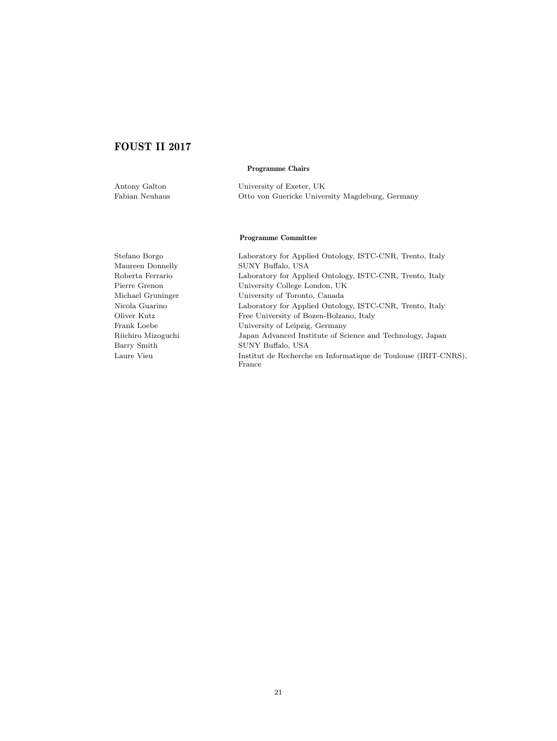# FOUST II 2017

#### Programme Chairs

| Antony Galton  | University of Exeter, UK                        |
|----------------|-------------------------------------------------|
| Fabian Neuhaus | Otto von Guericke University Magdeburg, Germany |

#### Programme Committee

Stefano Borgo Laboratory for Applied Ontology, ISTC-CNR, Trento, Italy Maureen Donnelly SUNY Buffalo, USA Roberta Ferrario Laboratory for Applied Ontology, ISTC-CNR, Trento, Italy Pierre Grenon University College London, UK Michael Gruninger University of Toronto, Canada Nicola Guarino Laboratory for Applied Ontology, ISTC-CNR, Trento, Italy Oliver Kutz Free University of Bozen-Bolzano, Italy Frank Loebe University of Leipzig, Germany Riichiro Mizoguchi Japan Advanced Institute of Science and Technology, Japan Barry Smith SUNY Buffalo, USA Laure Vieu Institut de Recherche en Informatique de Toulouse (IRIT-CNRS), France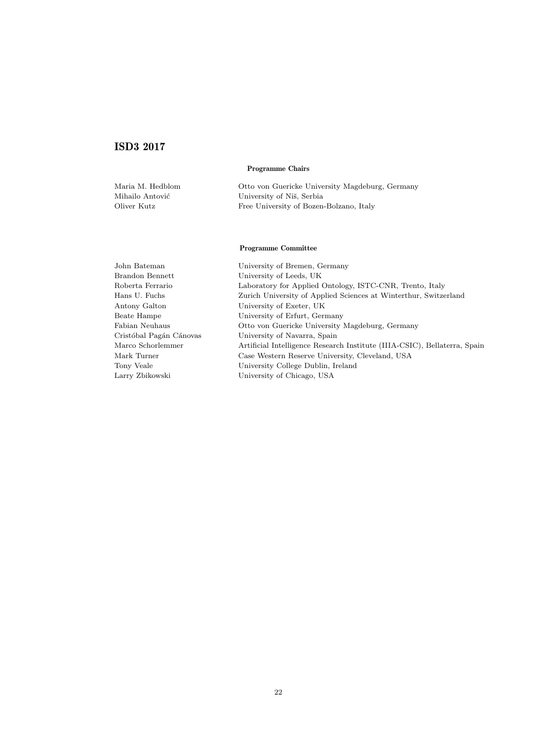# ISD3 2017

#### Programme Chairs

| Maria M. Hedblom | Otto von Guericke University Magdeburg, Germany |
|------------------|-------------------------------------------------|
| Mihailo Antović  | University of Niš, Serbia                       |
| Oliver Kutz      | Free University of Bozen-Bolzano, Italy         |

#### Programme Committee

John Bateman University of Bremen, Germany Brandon Bennett University of Leeds, UK Roberta Ferrario Laboratory for Applied Ontology, ISTC-CNR, Trento, Italy Hans U. Fuchs Zurich University of Applied Sciences at Winterthur, Switzerland Antony Galton University of Exeter, UK Beate Hampe University of Erfurt, Germany Fabian Neuhaus Otto von Guericke University Magdeburg, Germany Cristóbal Pagán Cánovas University of Navarra, Spain Marco Schorlemmer Artificial Intelligence Research Institute (IIIA-CSIC), Bellaterra, Spain Mark Turner Case Western Reserve University, Cleveland, USA Tony Veale University College Dublin, Ireland Larry Zbikowski University of Chicago, USA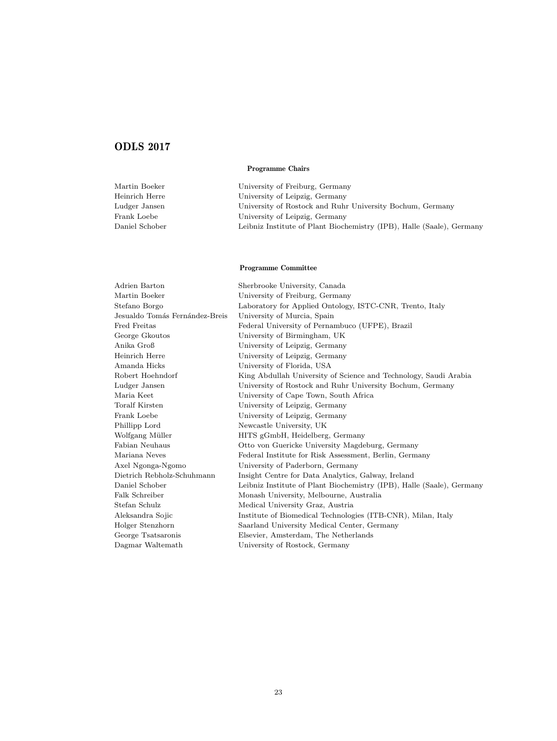# ODLS 2017

#### Programme Chairs

| Martin Boeker  | University of Freiburg, Germany                                       |
|----------------|-----------------------------------------------------------------------|
| Heinrich Herre | University of Leipzig, Germany                                        |
| Ludger Jansen  | University of Rostock and Ruhr University Bochum, Germany             |
| Frank Loebe    | University of Leipzig, Germany                                        |
| Daniel Schober | Leibniz Institute of Plant Biochemistry (IPB), Halle (Saale), Germany |

#### Programme Committee

| Adrien Barton                  | Sherbrooke University, Canada                                         |
|--------------------------------|-----------------------------------------------------------------------|
| Martin Boeker                  | University of Freiburg, Germany                                       |
| Stefano Borgo                  | Laboratory for Applied Ontology, ISTC-CNR, Trento, Italy              |
| Jesualdo Tomás Fernández-Breis | University of Murcia, Spain                                           |
| Fred Freitas                   | Federal University of Pernambuco (UFPE), Brazil                       |
| George Gkoutos                 | University of Birmingham, UK                                          |
| Anika Groß                     | University of Leipzig, Germany                                        |
| Heinrich Herre                 | University of Leipzig, Germany                                        |
| Amanda Hicks                   | University of Florida, USA                                            |
| Robert Hoehndorf               | King Abdullah University of Science and Technology, Saudi Arabia      |
| Ludger Jansen                  | University of Rostock and Ruhr University Bochum, Germany             |
| Maria Keet                     | University of Cape Town, South Africa                                 |
| <b>Toralf Kirsten</b>          | University of Leipzig, Germany                                        |
| Frank Loebe                    | University of Leipzig, Germany                                        |
| Phillipp Lord                  | Newcastle University, UK                                              |
| Wolfgang Müller                | HITS gGmbH, Heidelberg, Germany                                       |
| Fabian Neuhaus                 | Otto von Guericke University Magdeburg, Germany                       |
| Mariana Neves                  | Federal Institute for Risk Assessment, Berlin, Germany                |
| Axel Ngonga-Ngomo              | University of Paderborn, Germany                                      |
| Dietrich Rebholz-Schuhmann     | Insight Centre for Data Analytics, Galway, Ireland                    |
| Daniel Schober                 | Leibniz Institute of Plant Biochemistry (IPB), Halle (Saale), Germany |
| Falk Schreiber                 | Monash University, Melbourne, Australia                               |
| Stefan Schulz                  | Medical University Graz, Austria                                      |
| Aleksandra Sojic               | Institute of Biomedical Technologies (ITB-CNR), Milan, Italy          |
| Holger Stenzhorn               | Saarland University Medical Center, Germany                           |
| George Tsatsaronis             | Elsevier, Amsterdam, The Netherlands                                  |
| Dagmar Waltemath               | University of Rostock, Germany                                        |
|                                |                                                                       |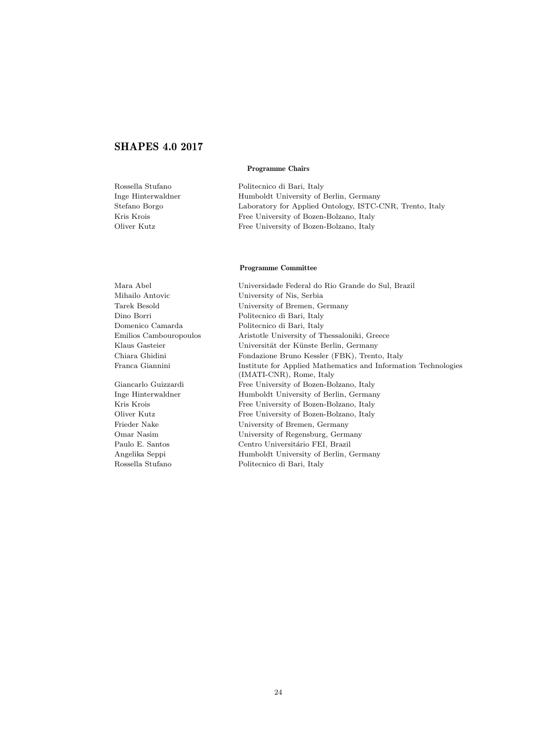# SHAPES 4.0 2017

#### Programme Chairs

| Rossella Stufano   | Politecnico di Bari, Italy                               |
|--------------------|----------------------------------------------------------|
| Inge Hinterwaldner | Humboldt University of Berlin, Germany                   |
| Stefano Borgo      | Laboratory for Applied Ontology, ISTC-CNR, Trento, Italy |
| Kris Krois         | Free University of Bozen-Bolzano, Italy                  |
| Oliver Kutz        | Free University of Bozen-Bolzano, Italy                  |
|                    |                                                          |

#### Programme Committee

| Mara Abel              | Universidade Federal do Rio Grande do Sul, Brazil                                          |
|------------------------|--------------------------------------------------------------------------------------------|
| Mihailo Antovic        | University of Nis, Serbia                                                                  |
| Tarek Besold           | University of Bremen, Germany                                                              |
| Dino Borri             | Politecnico di Bari, Italy                                                                 |
| Domenico Camarda       | Politecnico di Bari, Italy                                                                 |
| Emilios Cambouropoulos | Aristotle University of Thessaloniki, Greece                                               |
| Klaus Gasteier         | Universität der Künste Berlin, Germany                                                     |
| Chiara Ghidini         | Fondazione Bruno Kessler (FBK), Trento, Italy                                              |
| Franca Giannini        | Institute for Applied Mathematics and Information Technologies<br>(IMATI-CNR), Rome, Italy |
| Giancarlo Guizzardi    | Free University of Bozen-Bolzano, Italy                                                    |
| Inge Hinterwaldner     | Humboldt University of Berlin, Germany                                                     |
| Kris Krois             | Free University of Bozen-Bolzano, Italy                                                    |
| Oliver Kutz            | Free University of Bozen-Bolzano, Italy                                                    |
| Frieder Nake           | University of Bremen, Germany                                                              |
| Omar Nasim             | University of Regensburg, Germany                                                          |
| Paulo E. Santos        | Centro Universitário FEI, Brazil                                                           |
| Angelika Seppi         | Humboldt University of Berlin, Germany                                                     |
| Rossella Stufano       | Politecnico di Bari, Italy                                                                 |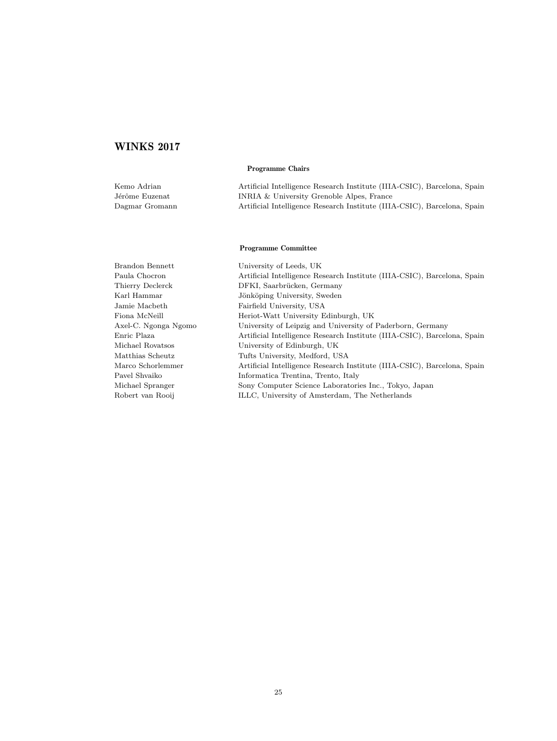## WINKS 2017

#### Programme Chairs

| Kemo Adrian    | Artificial Intelligence Research Institute (IIIA-CSIC), Barcelona, Spain |
|----------------|--------------------------------------------------------------------------|
| Jérôme Euzenat | INRIA & University Grenoble Alpes, France                                |
| Dagmar Gromann | Artificial Intelligence Research Institute (IIIA-CSIC), Barcelona, Spain |

#### Programme Committee

Brandon Bennett University of Leeds, UK Paula Chocron Artificial Intelligence Research Institute (IIIA-CSIC), Barcelona, Spain Thierry Declerck DFKI, Saarbrücken, Germany Karl Hammar Jönköping University, Sweden Jamie Macbeth Fairfield University, USA Fiona McNeill Heriot-Watt University Edinburgh, UK Axel-C. Ngonga Ngomo University of Leipzig and University of Paderborn, Germany Enric Plaza Artificial Intelligence Research Institute (IIIA-CSIC), Barcelona, Spain Michael Rovatsos University of Edinburgh, UK Matthias Scheutz Tufts University, Medford, USA Marco Schorlemmer Artificial Intelligence Research Institute (IIIA-CSIC), Barcelona, Spain Pavel Shvaiko Informatica Trentina, Trento, Italy Michael Spranger Sony Computer Science Laboratories Inc., Tokyo, Japan Robert van Rooij ILLC, University of Amsterdam, The Netherlands